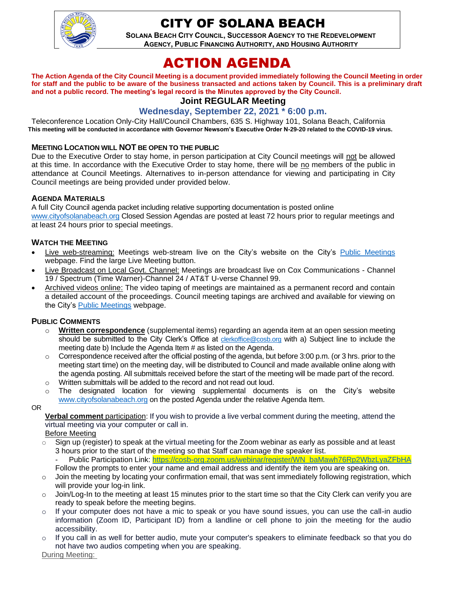

# CITY OF SOLANA BEACH

**SOLANA BEACH CITY COUNCIL, SUCCESSOR AGENCY TO THE REDEVELOPMENT AGENCY, PUBLIC FINANCING AUTHORITY, AND HOUSING AUTHORITY** 

# ACTION AGENDA

**The Action Agenda of the City Council Meeting is a document provided immediately following the Council Meeting in order for staff and the public to be aware of the business transacted and actions taken by Council. This is a preliminary draft and not a public record. The meeting's legal record is the Minutes approved by the City Council.**

## **Joint REGULAR Meeting**

## **Wednesday, September 22, 2021 \* 6:00 p.m.**

Teleconference Location Only-City Hall/Council Chambers, 635 S. Highway 101, Solana Beach, California **This meeting will be conducted in accordance with Governor Newsom's Executive Order N-29-20 related to the COVID-19 virus.**

#### **MEETING LOCATION WILL NOT BE OPEN TO THE PUBLIC**

Due to the Executive Order to stay home, in person participation at City Council meetings will not be allowed at this time. In accordance with the Executive Order to stay home, there will be no members of the public in attendance at Council Meetings. Alternatives to in-person attendance for viewing and participating in City Council meetings are being provided under provided below.

#### **AGENDA MATERIALS**

A full City Council agenda packet including relative supporting documentation is posted online [www.cityofsolanabeach.org](http://www.cityofsolanabeach.org/) Closed Session Agendas are posted at least 72 hours prior to regular meetings and at least 24 hours prior to special meetings.

#### **WATCH THE MEETING**

- Live web-streaming: Meetings web-stream live on the City's website on the City's [Public Meetings](https://urldefense.proofpoint.com/v2/url?u=https-3A__www.ci.solana-2Dbeach.ca.us_index.asp-3FSEC-3DF0F1200D-2D21C6-2D4A88-2D8AE1-2D0BC07C1A81A7-26Type-3DB-5FBASIC&d=DwMFAg&c=euGZstcaTDllvimEN8b7jXrwqOf-v5A_CdpgnVfiiMM&r=1XAsCUuqwK_tji2t0s1uIQ&m=wny2RVfZJ2tN24LkqZmkUWNpwL_peNtTZUBlTBZiMM4&s=WwpcEQpHHkFen6nS6q2waMuQ_VMZ-i1YZ60lD-dYRRE&e=) webpage. Find the large Live Meeting button.
- Live Broadcast on Local Govt. Channel: Meetings are broadcast live on Cox Communications Channel 19 / Spectrum (Time Warner)-Channel 24 / AT&T U-verse Channel 99.
- Archived videos online: The video taping of meetings are maintained as a permanent record and contain a detailed account of the proceedings. Council meeting tapings are archived and available for viewing on the City's [Public Meetings](https://urldefense.proofpoint.com/v2/url?u=https-3A__www.ci.solana-2Dbeach.ca.us_index.asp-3FSEC-3DF0F1200D-2D21C6-2D4A88-2D8AE1-2D0BC07C1A81A7-26Type-3DB-5FBASIC&d=DwMFAg&c=euGZstcaTDllvimEN8b7jXrwqOf-v5A_CdpgnVfiiMM&r=1XAsCUuqwK_tji2t0s1uIQ&m=wny2RVfZJ2tN24LkqZmkUWNpwL_peNtTZUBlTBZiMM4&s=WwpcEQpHHkFen6nS6q2waMuQ_VMZ-i1YZ60lD-dYRRE&e=) webpage.

#### **PUBLIC COMMENTS**

- o **Written correspondence** (supplemental items) regarding an agenda item at an open session meeting should be submitted to the City Clerk's Office at [clerkoffice@cosb.org](mailto:clerkoffice@cosb.org) with a) Subject line to include the meeting date b) Include the Agenda Item # as listed on the Agenda.
- $\circ$  Correspondence received after the official posting of the agenda, but before 3:00 p.m. (or 3 hrs. prior to the meeting start time) on the meeting day, will be distributed to Council and made available online along with the agenda posting. All submittals received before the start of the meeting will be made part of the record.
- o Written submittals will be added to the record and not read out loud.  $\circ$  The designated location for viewing supplemental documents is on the City's website
- [www.cityofsolanabeach.org](http://www.cityofsolanabeach.org/) on the posted Agenda under the relative Agenda Item.
- OR

**Verbal comment** participation: If you wish to provide a live verbal comment during the meeting, attend the virtual meeting via your computer or call in.

Before Meeting

- $\circ$  Sign up (register) to speak at the virtual meeting for the Zoom webinar as early as possible and at least 3 hours prior to the start of the meeting so that Staff can manage the speaker list. Public Participation Link: [https://cosb-org.zoom.us/webinar/register/WN\\_baMawh76Rp2WbzLyaZFbHA](https://cosb-org.zoom.us/webinar/register/WN_baMawh76Rp2WbzLyaZFbHA) Follow the prompts to enter your name and email address and identify the item you are speaking on.
- o Join the meeting by locating your confirmation email, that was sent immediately following registration, which will provide your log-in link.
- $\circ$  Join/Log-In to the meeting at least 15 minutes prior to the start time so that the City Clerk can verify you are ready to speak before the meeting begins.
- $\circ$  If your computer does not have a mic to speak or you have sound issues, you can use the call-in audio information (Zoom ID, Participant ID) from a landline or cell phone to join the meeting for the audio accessibility.
- $\circ$  If you call in as well for better audio, mute your computer's speakers to eliminate feedback so that you do not have two audios competing when you are speaking.

During Meeting: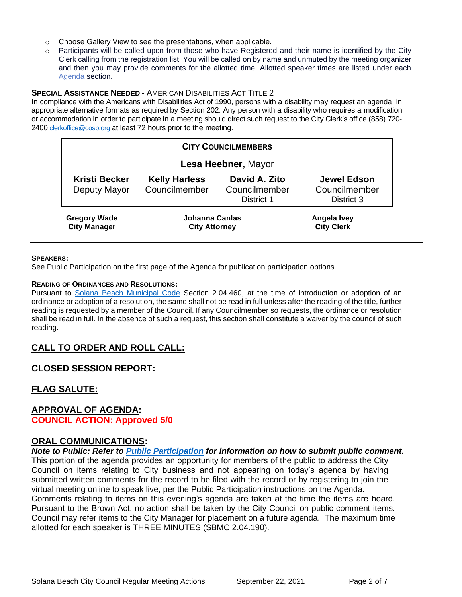- o Choose Gallery View to see the presentations, when applicable.
- $\circ$  Participants will be called upon from those who have Registered and their name is identified by the City Clerk calling from the registration list. You will be called on by name and unmuted by the meeting organizer and then you may provide comments for the allotted time. Allotted speaker times are listed under each [Agenda s](https://urldefense.proofpoint.com/v2/url?u=https-3A__www.ci.solana-2Dbeach.ca.us_index.asp-3FSEC-3DF0F1200D-2D21C6-2D4A88-2D8AE1-2D0BC07C1A81A7-26Type-3DB-5FBASIC&d=DwMFaQ&c=euGZstcaTDllvimEN8b7jXrwqOf-v5A_CdpgnVfiiMM&r=1XAsCUuqwK_tji2t0s1uIQ&m=C7WzXfOw2_nkEFMJClT55zZsF4tmIf_7KTn0o1WpYqI&s=3DcsWExM2_nx_xpvFtXslUjphiXd0MDCCF18y_Qy5yU&e=)ection.

#### **SPECIAL ASSISTANCE NEEDED** - AMERICAN DISABILITIES ACT TITLE 2

In compliance with the Americans with Disabilities Act of 1990, persons with a disability may request an agenda in appropriate alternative formats as required by Section 202. Any person with a disability who requires a modification or accommodation in order to participate in a meeting should direct such request to the City Clerk's office (858) 720- 2400 [clerkoffice@cosb.org](mailto:EMAILGRP-CityClerksOfc@cosb.org) at least 72 hours prior to the meeting.

| <b>CITY COUNCILMEMBERS</b>                 |                                        |                                              |                                                   |
|--------------------------------------------|----------------------------------------|----------------------------------------------|---------------------------------------------------|
| Lesa Heebner, Mayor                        |                                        |                                              |                                                   |
| <b>Kristi Becker</b><br>Deputy Mayor       | <b>Kelly Harless</b><br>Councilmember  | David A. Zito<br>Councilmember<br>District 1 | <b>Jewel Edson</b><br>Councilmember<br>District 3 |
| <b>Gregory Wade</b><br><b>City Manager</b> | Johanna Canlas<br><b>City Attorney</b> |                                              | Angela Ivey<br><b>City Clerk</b>                  |

#### **SPEAKERS:**

See Public Participation on the first page of the Agenda for publication participation options.

#### **READING OF ORDINANCES AND RESOLUTIONS:**

Pursuant to [Solana Beach Municipal Code](https://www.codepublishing.com/CA/SolanaBeach/) Section 2.04.460, at the time of introduction or adoption of an ordinance or adoption of a resolution, the same shall not be read in full unless after the reading of the title, further reading is requested by a member of the Council. If any Councilmember so requests, the ordinance or resolution shall be read in full. In the absence of such a request, this section shall constitute a waiver by the council of such reading.

## **CALL TO ORDER AND ROLL CALL:**

## **CLOSED SESSION REPORT:**

## **FLAG SALUTE:**

#### **APPROVAL OF AGENDA: COUNCIL ACTION: Approved 5/0**

#### **ORAL COMMUNICATIONS:**

*Note to Public: Refer to Public Participation for information on how to submit public comment.*  This portion of the agenda provides an opportunity for members of the public to address the City Council on items relating to City business and not appearing on today's agenda by having submitted written comments for the record to be filed with the record or by registering to join the virtual meeting online to speak live, per the Public Participation instructions on the Agenda. Comments relating to items on this evening's agenda are taken at the time the items are heard. Pursuant to the Brown Act, no action shall be taken by the City Council on public comment items. Council may refer items to the City Manager for placement on a future agenda. The maximum time allotted for each speaker is THREE MINUTES (SBMC 2.04.190).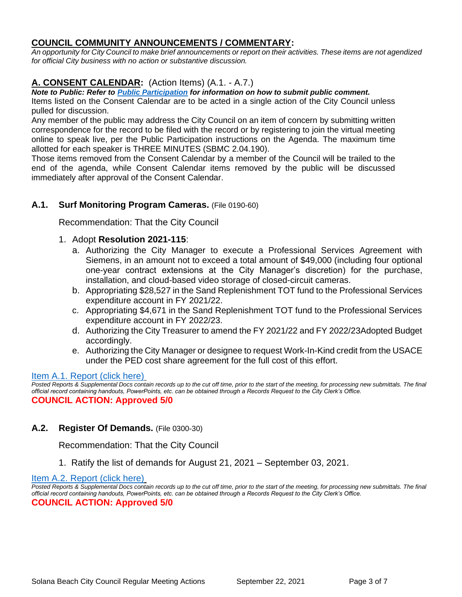# **COUNCIL COMMUNITY ANNOUNCEMENTS / COMMENTARY:**

*An opportunity for City Council to make brief announcements or report on their activities. These items are not agendized for official City business with no action or substantive discussion.* 

# **A. CONSENT CALENDAR:** (Action Items) (A.1. - A.7.)

*Note to Public: Refer to Public Participation for information on how to submit public comment.*  Items listed on the Consent Calendar are to be acted in a single action of the City Council unless pulled for discussion.

Any member of the public may address the City Council on an item of concern by submitting written correspondence for the record to be filed with the record or by registering to join the virtual meeting online to speak live, per the Public Participation instructions on the Agenda. The maximum time allotted for each speaker is THREE MINUTES (SBMC 2.04.190).

Those items removed from the Consent Calendar by a member of the Council will be trailed to the end of the agenda, while Consent Calendar items removed by the public will be discussed immediately after approval of the Consent Calendar.

# **A.1. Surf Monitoring Program Cameras.** (File 0190-60)

Recommendation: That the City Council

## 1. Adopt **Resolution 2021-115**:

- a. Authorizing the City Manager to execute a Professional Services Agreement with Siemens, in an amount not to exceed a total amount of \$49,000 (including four optional one-year contract extensions at the City Manager's discretion) for the purchase, installation, and cloud-based video storage of closed-circuit cameras.
- b. Appropriating \$28,527 in the Sand Replenishment TOT fund to the Professional Services expenditure account in FY 2021/22.
- c. Appropriating \$4,671 in the Sand Replenishment TOT fund to the Professional Services expenditure account in FY 2022/23.
- d. Authorizing the City Treasurer to amend the FY 2021/22 and FY 2022/23Adopted Budget accordingly.
- e. Authorizing the City Manager or designee to request Work-In-Kind credit from the USACE under the PED cost share agreement for the full cost of this effort.

## [Item A.1. Report \(click here\)](https://solanabeach.govoffice3.com/vertical/Sites/%7B840804C2-F869-4904-9AE3-720581350CE7%7D/uploads/Item_A.1._Report_(click_here)_-_9-22-21_O.pdf)

Posted Reports & Supplemental Docs contain records up to the cut off time, prior to the start of the meeting, for processing new submittals. The final *official record containing handouts, PowerPoints, etc. can be obtained through a Records Request to the City Clerk's Office.* **COUNCIL ACTION: Approved 5/0**

# **A.2. Register Of Demands.** (File 0300-30)

Recommendation: That the City Council

1. Ratify the list of demands for August 21, 2021 – September 03, 2021.

#### [Item A.2. Report \(click here\)](https://solanabeach.govoffice3.com/vertical/Sites/%7B840804C2-F869-4904-9AE3-720581350CE7%7D/uploads/Item_A.2._Report_(click_here)_-_9-22-21_O.pdf)

*Posted Reports & Supplemental Docs contain records up to the cut off time, prior to the start of the meeting, for processing new submittals. The final official record containing handouts, PowerPoints, etc. can be obtained through a Records Request to the City Clerk's Office.* **COUNCIL ACTION: Approved 5/0**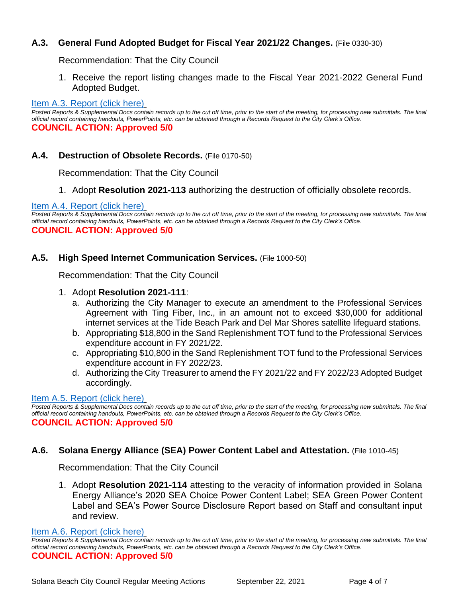# **A.3. General Fund Adopted Budget for Fiscal Year 2021/22 Changes.** (File 0330-30)

Recommendation: That the City Council

1. Receive the report listing changes made to the Fiscal Year 2021-2022 General Fund [Adopted Budget.](https://solanabeach.govoffice3.com/vertical/Sites/%7B840804C2-F869-4904-9AE3-720581350CE7%7D/uploads/Item_A.3._Report_(click_here)_-_9-22-21_O.pdf)

#### [Item A.3. Report \(click here\)](https://solanabeach.govoffice3.com/vertical/Sites/%7B840804C2-F869-4904-9AE3-720581350CE7%7D/uploads/Item_A.3._Report_(click_here)_-_9-22-21_O.pdf)

Posted Reports & Supplemental Docs contain records up to the cut off time, prior to the start of the meeting, for processing new submittals. The final *official record containing handouts, PowerPoints, etc. can be obtained through a Records Request to the City Clerk's Office.* **COUNCIL ACTION: Approved 5/0**

# **A.4. Destruction of Obsolete Records.** (File 0170-50)

Recommendation: That the City Council

1. Adopt **Resolution 2021-113** authorizing the destruction of officially obsolete records.

#### [Item A.4. Report \(click here\)](https://solanabeach.govoffice3.com/vertical/Sites/%7B840804C2-F869-4904-9AE3-720581350CE7%7D/uploads/Item_A.4._Report_(click_here)_-_9-22-21_O.pdf)

*Posted Reports & Supplemental Docs contain records up to the cut off time, prior to the start of the meeting, for processing new submittals. The final official record containing handouts, PowerPoints, etc. can be obtained through a Records Request to the City Clerk's Office.* **COUNCIL ACTION: Approved 5/0**

## **A.5. High Speed Internet Communication Services.** (File 1000-50)

Recommendation: That the City Council

## 1. Adopt **Resolution 2021-111**:

- a. Authorizing the City Manager to execute an amendment to the Professional Services Agreement with Ting Fiber, Inc., in an amount not to exceed \$30,000 for additional internet services at the Tide Beach Park and Del Mar Shores satellite lifeguard stations.
- b. Appropriating \$18,800 in the Sand Replenishment TOT fund to the Professional Services expenditure account in FY 2021/22.
- c. Appropriating \$10,800 in the Sand Replenishment TOT fund to the Professional Services expenditure account in FY 2022/23.
- d. Authorizing the City Treasurer to amend the FY 2021/22 and FY 2022/23 Adopted Budget accordingly.

## [Item A.5. Report \(click here\)](https://solanabeach.govoffice3.com/vertical/Sites/%7B840804C2-F869-4904-9AE3-720581350CE7%7D/uploads/Item_A.5._Report_(click_here)_-_9-22-21_O.pdf)

Posted Reports & Supplemental Docs contain records up to the cut off time, prior to the start of the meeting, for processing new submittals. The final *official record containing handouts, PowerPoints, etc. can be obtained through a Records Request to the City Clerk's Office.* **COUNCIL ACTION: Approved 5/0**

# **A.6. Solana Energy Alliance (SEA) Power Content Label and Attestation.** (File 1010-45)

Recommendation: That the City Council

1. Adopt **Resolution 2021-114** attesting to the veracity of information provided in Solana Energy Alliance's 2020 SEA Choice Power Content Label; SEA Green Power Content Label and SEA's Power Source Disclosure Report based on Staff and consultant input and review.

[Item A.6. Report \(click here\)](https://solanabeach.govoffice3.com/vertical/Sites/%7B840804C2-F869-4904-9AE3-720581350CE7%7D/uploads/Item_A.6._Report_(click_here)_-_9-22-21_O.pdf)

*Posted Reports & Supplemental Docs contain records up to the cut off time, prior to the start of the meeting, for processing new submittals. The final official record containing handouts, PowerPoints, etc. can be obtained through a Records Request to the City Clerk's Office.* **COUNCIL ACTION: Approved 5/0**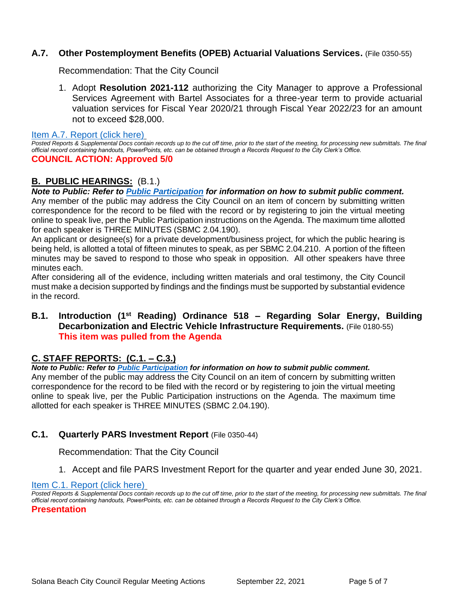# **A.7. Other Postemployment Benefits (OPEB) Actuarial Valuations Services.** (File 0350-55)

Recommendation: That the City Council

1. Adopt **Resolution 2021-112** authorizing the City Manager to approve a Professional Services Agreement with Bartel Associates for a three-year term to provide actuarial valuation services for Fiscal Year 2020/21 through Fiscal Year 2022/23 for an amount not to exceed \$28,000.

[Item A.7. Report \(click here\)](https://solanabeach.govoffice3.com/vertical/Sites/%7B840804C2-F869-4904-9AE3-720581350CE7%7D/uploads/Item_A.7._Report_(click_here)_-_9-22-21_O.pdf)

*Posted Reports & Supplemental Docs contain records up to the cut off time, prior to the start of the meeting, for processing new submittals. The final official record containing handouts, PowerPoints, etc. can be obtained through a Records Request to the City Clerk's Office.*

## **COUNCIL ACTION: Approved 5/0**

# **B. PUBLIC HEARINGS:** (B.1.)

*Note to Public: Refer to Public Participation for information on how to submit public comment.*  Any member of the public may address the City Council on an item of concern by submitting written correspondence for the record to be filed with the record or by registering to join the virtual meeting online to speak live, per the Public Participation instructions on the Agenda. The maximum time allotted for each speaker is THREE MINUTES (SBMC 2.04.190).

An applicant or designee(s) for a private development/business project, for which the public hearing is being held, is allotted a total of fifteen minutes to speak, as per SBMC 2.04.210. A portion of the fifteen minutes may be saved to respond to those who speak in opposition. All other speakers have three minutes each.

After considering all of the evidence, including written materials and oral testimony, the City Council must make a decision supported by findings and the findings must be supported by substantial evidence in the record.

## **B.1. Introduction (1st Reading) Ordinance 518 – Regarding Solar Energy, Building Decarbonization and Electric Vehicle Infrastructure Requirements.** (File 0180-55) **This item was pulled from the Agenda**

# **C. STAFF REPORTS: (C.1. – C.3.)**

#### *Note to Public: Refer to Public Participation for information on how to submit public comment.*

Any member of the public may address the City Council on an item of concern by submitting written correspondence for the record to be filed with the record or by registering to join the virtual meeting online to speak live, per the Public Participation instructions on the Agenda. The maximum time allotted for each speaker is THREE MINUTES (SBMC 2.04.190).

## **C.1. Quarterly PARS Investment Report** (File 0350-44)

Recommendation: That the City Council

1. Accept and file PARS Investment Report for the quarter and year ended June 30, 2021.

#### [Item C.1. Report \(click here\)](https://solanabeach.govoffice3.com/vertical/Sites/%7B840804C2-F869-4904-9AE3-720581350CE7%7D/uploads/Item_C.1._Report_(click_here)_-_9-22-21_O.pdf)

*Posted Reports & Supplemental Docs contain records up to the cut off time, prior to the start of the meeting, for processing new submittals. The final official record containing handouts, PowerPoints, etc. can be obtained through a Records Request to the City Clerk's Office.*

#### **Presentation**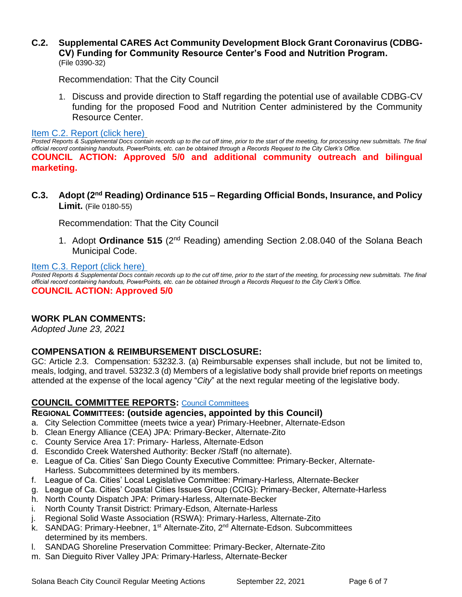## **C.2. Supplemental CARES Act Community Development Block Grant Coronavirus (CDBG-CV) Funding for Community Resource Center's Food and Nutrition Program.**  (File 0390-32)

Recommendation: That the City Council

1. Discuss and provide direction to Staff regarding the potential use of available CDBG-CV funding for the proposed Food and Nutrition Center administered by the Community Resource Center.

#### [Item C.2. Report \(click here\)](https://solanabeach.govoffice3.com/vertical/Sites/%7B840804C2-F869-4904-9AE3-720581350CE7%7D/uploads/Item_C.2._Report_(click_here)_9-22-21_O.pdf)

*Posted Reports & Supplemental Docs contain records up to the cut off time, prior to the start of the meeting, for processing new submittals. The final official record containing handouts, PowerPoints, etc. can be obtained through a Records Request to the City Clerk's Office.* **COUNCIL ACTION: Approved 5/0 and additional community outreach and bilingual marketing.** 

**C.3. Adopt (2nd Reading) Ordinance 515 – Regarding Official Bonds, Insurance, and Policy Limit.** (File 0180-55)

Recommendation: That the City Council

1. Adopt **Ordinance 515** (2nd Reading) amending Section 2.08.040 of the Solana Beach Municipal Code.

## [Item C.3. Report \(click here\)](https://solanabeach.govoffice3.com/vertical/Sites/%7B840804C2-F869-4904-9AE3-720581350CE7%7D/uploads/Item_C.3._Report_(click_here)_9-22-21_O.pdf)

*Posted Reports & Supplemental Docs contain records up to the cut off time, prior to the start of the meeting, for processing new submittals. The final official record containing handouts, PowerPoints, etc. can be obtained through a Records Request to the City Clerk's Office.* **COUNCIL ACTION: Approved 5/0**

# **WORK PLAN COMMENTS:**

*Adopted June 23, 2021*

# **COMPENSATION & REIMBURSEMENT DISCLOSURE:**

GC: Article 2.3. Compensation: 53232.3. (a) Reimbursable expenses shall include, but not be limited to, meals, lodging, and travel. 53232.3 (d) Members of a legislative body shall provide brief reports on meetings attended at the expense of the local agency "*City*" at the next regular meeting of the legislative body.

## **COUNCIL COMMITTEE REPORTS:** [Council Committees](https://www.ci.solana-beach.ca.us/index.asp?SEC=584E1192-3850-46EA-B977-088AC3E81E0D&Type=B_BASIC)

**REGIONAL COMMITTEES: (outside agencies, appointed by this Council)**

- a. City Selection Committee (meets twice a year) Primary-Heebner, Alternate-Edson
- b. Clean Energy Alliance (CEA) JPA: Primary-Becker, Alternate-Zito
- c. County Service Area 17: Primary- Harless, Alternate-Edson
- d. Escondido Creek Watershed Authority: Becker /Staff (no alternate).
- e. League of Ca. Cities' San Diego County Executive Committee: Primary-Becker, Alternate-Harless. Subcommittees determined by its members.
- f. League of Ca. Cities' Local Legislative Committee: Primary-Harless, Alternate-Becker
- g. League of Ca. Cities' Coastal Cities Issues Group (CCIG): Primary-Becker, Alternate-Harless
- h. North County Dispatch JPA: Primary-Harless, Alternate-Becker
- i. North County Transit District: Primary-Edson, Alternate-Harless
- j. Regional Solid Waste Association (RSWA): Primary-Harless, Alternate-Zito
- k. SANDAG: Primary-Heebner, 1<sup>st</sup> Alternate-Zito, 2<sup>nd</sup> Alternate-Edson. Subcommittees determined by its members.
- l. SANDAG Shoreline Preservation Committee: Primary-Becker, Alternate-Zito
- m. San Dieguito River Valley JPA: Primary-Harless, Alternate-Becker